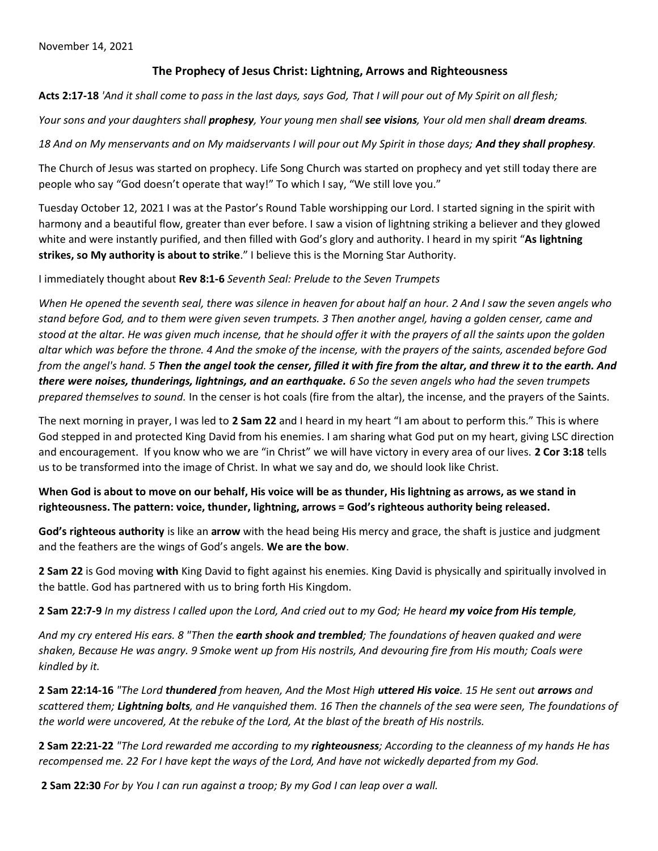## **The Prophecy of Jesus Christ: Lightning, Arrows and Righteousness**

**Acts 2:17-18** *'And it shall come to pass in the last days, says God, That I will pour out of My Spirit on all flesh;*

*Your sons and your daughters shall prophesy, Your young men shall see visions, Your old men shall dream dreams.* 

18 And on My menservants and on My maidservants I will pour out My Spirit in those days; **And they shall prophesy**.

The Church of Jesus was started on prophecy. Life Song Church was started on prophecy and yet still today there are people who say "God doesn't operate that way!" To which I say, "We still love you."

Tuesday October 12, 2021 I was at the Pastor's Round Table worshipping our Lord. I started signing in the spirit with harmony and a beautiful flow, greater than ever before. I saw a vision of lightning striking a believer and they glowed white and were instantly purified, and then filled with God's glory and authority. I heard in my spirit "**As lightning strikes, so My authority is about to strike**." I believe this is the Morning Star Authority.

I immediately thought about **Rev 8:1-6** *Seventh Seal: Prelude to the Seven Trumpets*

*When He opened the seventh seal, there was silence in heaven for about half an hour. 2 And I saw the seven angels who stand before God, and to them were given seven trumpets. 3 Then another angel, having a golden censer, came and stood at the altar. He was given much incense, that he should offer it with the prayers of all the saints upon the golden altar which was before the throne. 4 And the smoke of the incense, with the prayers of the saints, ascended before God from the angel's hand. 5 Then the angel took the censer, filled it with fire from the altar, and threw it to the earth. And there were noises, thunderings, lightnings, and an earthquake. 6 So the seven angels who had the seven trumpets prepared themselves to sound.* In the censer is hot coals (fire from the altar), the incense, and the prayers of the Saints.

The next morning in prayer, I was led to **2 Sam 22** and I heard in my heart "I am about to perform this." This is where God stepped in and protected King David from his enemies. I am sharing what God put on my heart, giving LSC direction and encouragement. If you know who we are "in Christ" we will have victory in every area of our lives. **2 Cor 3:18** tells us to be transformed into the image of Christ. In what we say and do, we should look like Christ.

**When God is about to move on our behalf, His voice will be as thunder, His lightning as arrows, as we stand in righteousness. The pattern: voice, thunder, lightning, arrows = God's righteous authority being released.**

**God's righteous authority** is like an **arrow** with the head being His mercy and grace, the shaft is justice and judgment and the feathers are the wings of God's angels. **We are the bow**.

**2 Sam 22** is God moving **with** King David to fight against his enemies. King David is physically and spiritually involved in the battle. God has partnered with us to bring forth His Kingdom.

**2 Sam 22:7-9** *In my distress I called upon the Lord, And cried out to my God; He heard my voice from His temple,*

*And my cry entered His ears. 8 "Then the earth shook and trembled; The foundations of heaven quaked and were shaken, Because He was angry. 9 Smoke went up from His nostrils, And devouring fire from His mouth; Coals were kindled by it.* 

**2 Sam 22:14-16** *"The Lord thundered from heaven, And the Most High uttered His voice. 15 He sent out arrows and scattered them; Lightning bolts, and He vanquished them. 16 Then the channels of the sea were seen, The foundations of the world were uncovered, At the rebuke of the Lord, At the blast of the breath of His nostrils.* 

**2 Sam 22:21-22** *"The Lord rewarded me according to my righteousness; According to the cleanness of my hands He has recompensed me. 22 For I have kept the ways of the Lord, And have not wickedly departed from my God.* 

**2 Sam 22:30** *For by You I can run against a troop; By my God I can leap over a wall.*